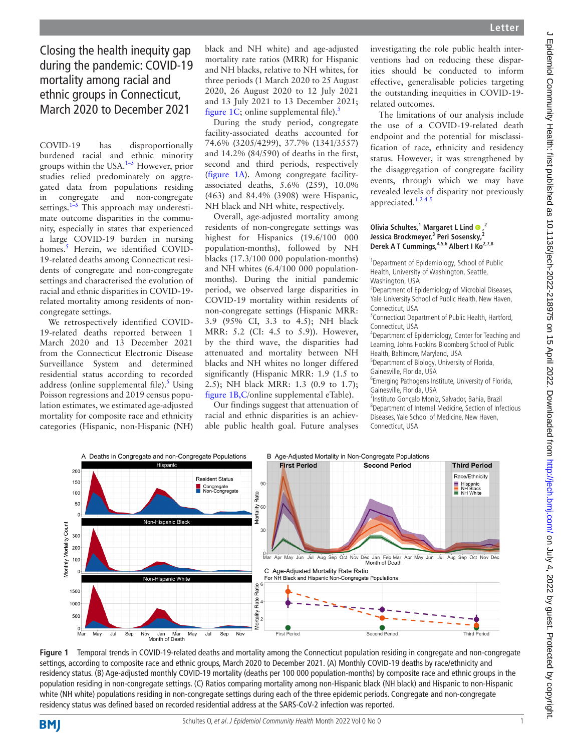Closing the health inequity gap during the pandemic: COVID-19 mortality among racial and ethnic groups in Connecticut, March 2020 to December 2021

COVID-19 has disproportionally burdened racial and ethnic minority groups within the USA.[1–5](#page-1-0) However, prior studies relied predominately on aggregated data from populations residing in congregate and non-congregate settings. $1-5$  This approach may underestimate outcome disparities in the community, especially in states that experienced a large COVID-19 burden in nursing homes.<sup>[5](#page-1-1)</sup> Herein, we identified COVID-19-related deaths among Connecticut residents of congregate and non-congregate settings and characterised the evolution of racial and ethnic disparities in COVID-19 related mortality among residents of noncongregate settings.

We retrospectively identified COVID-19-related deaths reported between 1 March 2020 and 13 December 2021 from the Connecticut Electronic Disease Surveillance System and determined residential status according to recorded address ([online supplemental file\)](https://dx.doi.org/10.1136/jech-2022-218975). $5$  Using Poisson regressions and 2019 census population estimates, we estimated age-adjusted mortality for composite race and ethnicity categories (Hispanic, non-Hispanic (NH)

black and NH white) and age-adjusted mortality rate ratios (MRR) for Hispanic and NH blacks, relative to NH whites, for three periods (1 March 2020 to 25 August 2020, 26 August 2020 to 12 July 2021 and 13 July 2021 to 13 December 2021; [figure](#page-0-0) 1C; [online supplemental file](https://dx.doi.org/10.1136/jech-2022-218975)). $5$ 

During the study period, congregate facility-associated deaths accounted for 74.6% (3205/4299), 37.7% (1341/3557) and 14.2% (84/590) of deaths in the first, second and third periods, respectively ([figure](#page-0-0) 1A). Among congregate facilityassociated deaths, 5.6% (259), 10.0% (463) and 84.4% (3908) were Hispanic, NH black and NH white, respectively.

Overall, age-adjusted mortality among residents of non-congregate settings was highest for Hispanics (19.6/100 000 population-months), followed by NH blacks (17.3/100 000 population-months) and NH whites (6.4/100 000 populationmonths). During the initial pandemic period, we observed large disparities in COVID-19 mortality within residents of non-congregate settings (Hispanic MRR: 3.9 (95% CI, 3.3 to 4.5); NH black MRR: 5.2 (CI: 4.5 to 5.9)). However, by the third wave, the disparities had attenuated and mortality between NH blacks and NH whites no longer differed significantly (Hispanic MRR: 1.9 (1.5 to 2.5); NH black MRR: 1.3 (0.9 to 1.7); [figure](#page-0-0) 1B,C/[online supplemental eTable\)](https://dx.doi.org/10.1136/jech-2022-218975).

Our findings suggest that attenuation of racial and ethnic disparities is an achievable public health goal. Future analyses

investigating the role public health interventions had on reducing these disparities should be conducted to inform effective, generalisable policies targeting the outstanding inequities in COVID-19 related outcomes.

The limitations of our analysis include the use of a COVID-19-related death endpoint and the potential for misclassification of race, ethnicity and residency status. However, it was strengthened by the disaggregation of congregate facility events, through which we may have revealed levels of disparity not previously appreciated.[1 2 4 5](#page-1-0)

## **Olivia Schultes,<sup>1</sup> Margaret L Lind @,<sup>2</sup> Jessica Brockmeyer,3 Peri Sosensky,2** Derek A T Cummings, <sup>4,5,6</sup> Albert I Ko<sup>2,7,8</sup>

<sup>1</sup> Department of Epidemiology, School of Public Health, University of Washington, Seattle, Washington, USA

2 Department of Epidemiology of Microbial Diseases, Yale University School of Public Health, New Haven, Connecticut, USA

<sup>3</sup> Connecticut Department of Public Health, Hartford, Connecticut, USA

4 Department of Epidemiology, Center for Teaching and Learning, Johns Hopkins Bloomberg School of Public Health, Baltimore, Maryland, USA

5 Department of Biology, University of Florida, Gainesville, Florida, USA

6 Emerging Pathogens Institute, University of Florida, Gainesville, Florida, USA

7 Instituto Gonçalo Moniz, Salvador, Bahia, Brazil 8 Department of Internal Medicine, Section of Infectious Diseases, Yale School of Medicine, New Haven, Connecticut, USA



<span id="page-0-0"></span>**Figure 1** Temporal trends in COVID-19-related deaths and mortality among the Connecticut population residing in congregate and non-congregate settings, according to composite race and ethnic groups, March 2020 to December 2021. (A) Monthly COVID-19 deaths by race/ethnicity and residency status. (B) Age-adjusted monthly COVID-19 mortality (deaths per 100 000 population-months) by composite race and ethnic groups in the population residing in non-congregate settings. (C) Ratios comparing mortality among non-Hispanic black (NH black) and Hispanic to non-Hispanic white (NH white) populations residing in non-congregate settings during each of the three epidemic periods. Congregate and non-congregate residency status was defined based on recorded residential address at the SARS-CoV-2 infection was reported.